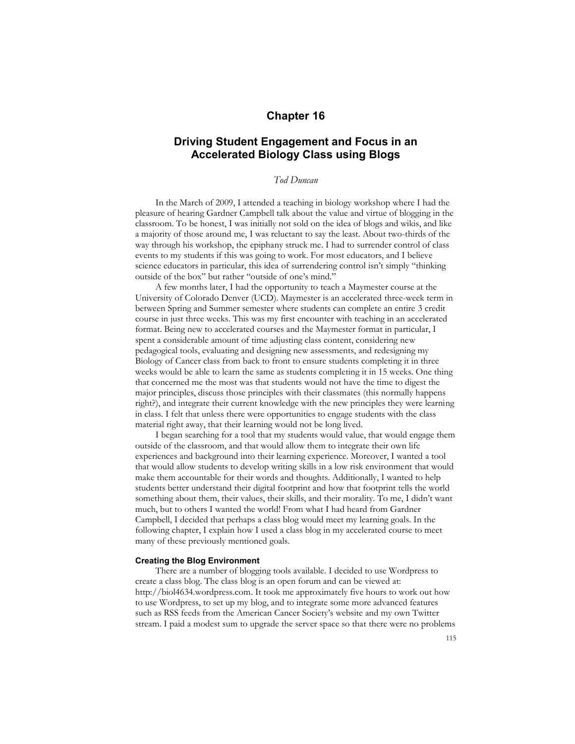## **Chapter 16**

# **Driving Student Engagement and Focus in an Accelerated Biology Class using Blogs**

## *Tod Duncan*

In the March of 2009, I attended a teaching in biology workshop where I had the pleasure of hearing Gardner Campbell talk about the value and virtue of blogging in the classroom. To be honest, I was initially not sold on the idea of blogs and wikis, and like a majority of those around me, I was reluctant to say the least. About two-thirds of the way through his workshop, the epiphany struck me. I had to surrender control of class events to my students if this was going to work. For most educators, and I believe science educators in particular, this idea of surrendering control isn't simply "thinking outside of the box" but rather "outside of one's mind."

A few months later, I had the opportunity to teach a Maymester course at the University of Colorado Denver (UCD). Maymester is an accelerated three-week term in between Spring and Summer semester where students can complete an entire 3 credit course in just three weeks. This was my first encounter with teaching in an accelerated format. Being new to accelerated courses and the Maymester format in particular, I spent a considerable amount of time adjusting class content, considering new pedagogical tools, evaluating and designing new assessments, and redesigning my Biology of Cancer class from back to front to ensure students completing it in three weeks would be able to learn the same as students completing it in 15 weeks. One thing that concerned me the most was that students would not have the time to digest the major principles, discuss those principles with their classmates (this normally happens right?), and integrate their current knowledge with the new principles they were learning in class. I felt that unless there were opportunities to engage students with the class material right away, that their learning would not be long lived.

I began searching for a tool that my students would value, that would engage them outside of the classroom, and that would allow them to integrate their own life experiences and background into their learning experience. Moreover, I wanted a tool that would allow students to develop writing skills in a low risk environment that would make them accountable for their words and thoughts. Additionally, I wanted to help students better understand their digital footprint and how that footprint tells the world something about them, their values, their skills, and their morality. To me, I didn't want much, but to others I wanted the world! From what I had heard from Gardner Campbell, I decided that perhaps a class blog would meet my learning goals. In the following chapter, I explain how I used a class blog in my accelerated course to meet many of these previously mentioned goals.

#### **Creating the Blog Environment**

There are a number of blogging tools available. I decided to use Wordpress to create a class blog. The class blog is an open forum and can be viewed at: http://biol4634.wordpress.com. It took me approximately five hours to work out how to use Wordpress, to set up my blog, and to integrate some more advanced features such as RSS feeds from the American Cancer Society's website and my own Twitter stream. I paid a modest sum to upgrade the server space so that there were no problems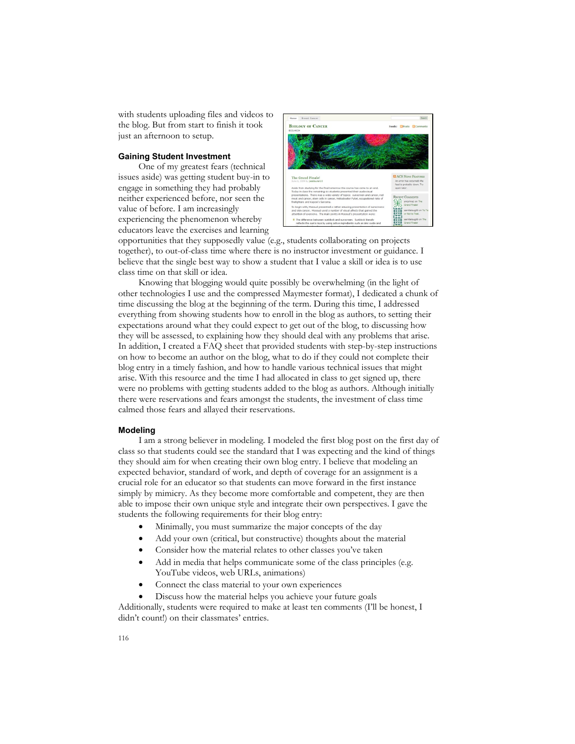with students uploading files and videos to the blog. But from start to finish it took just an afternoon to setup.

## **Gaining Student Investment**

One of my greatest fears (technical issues aside) was getting student buy-in to engage in something they had probably neither experienced before, nor seen the value of before. I am increasingly experiencing the phenomenon whereby educators leave the exercises and learning



opportunities that they supposedly value (e.g., students collaborating on projects together), to out-of-class time where there is no instructor investment or guidance. I believe that the single best way to show a student that I value a skill or idea is to use class time on that skill or idea.

Knowing that blogging would quite possibly be overwhelming (in the light of other technologies I use and the compressed Maymester format), I dedicated a chunk of time discussing the blog at the beginning of the term. During this time, I addressed everything from showing students how to enroll in the blog as authors, to setting their expectations around what they could expect to get out of the blog, to discussing how they will be assessed, to explaining how they should deal with any problems that arise. In addition, I created a FAQ sheet that provided students with step-by-step instructions on how to become an author on the blog, what to do if they could not complete their blog entry in a timely fashion, and how to handle various technical issues that might arise. With this resource and the time I had allocated in class to get signed up, there were no problems with getting students added to the blog as authors. Although initially there were reservations and fears amongst the students, the investment of class time calmed those fears and allayed their reservations.

#### **Modeling**

I am a strong believer in modeling. I modeled the first blog post on the first day of class so that students could see the standard that I was expecting and the kind of things they should aim for when creating their own blog entry. I believe that modeling an expected behavior, standard of work, and depth of coverage for an assignment is a crucial role for an educator so that students can move forward in the first instance simply by mimicry. As they become more comfortable and competent, they are then able to impose their own unique style and integrate their own perspectives. I gave the students the following requirements for their blog entry:

- Minimally, you must summarize the major concepts of the day
- Add your own (critical, but constructive) thoughts about the material
- Consider how the material relates to other classes you've taken
- Add in media that helps communicate some of the class principles (e.g. YouTube videos, web URLs, animations)
- Connect the class material to your own experiences
- Discuss how the material helps you achieve your future goals

Additionally, students were required to make at least ten comments (I'll be honest, I didn't count!) on their classmates' entries.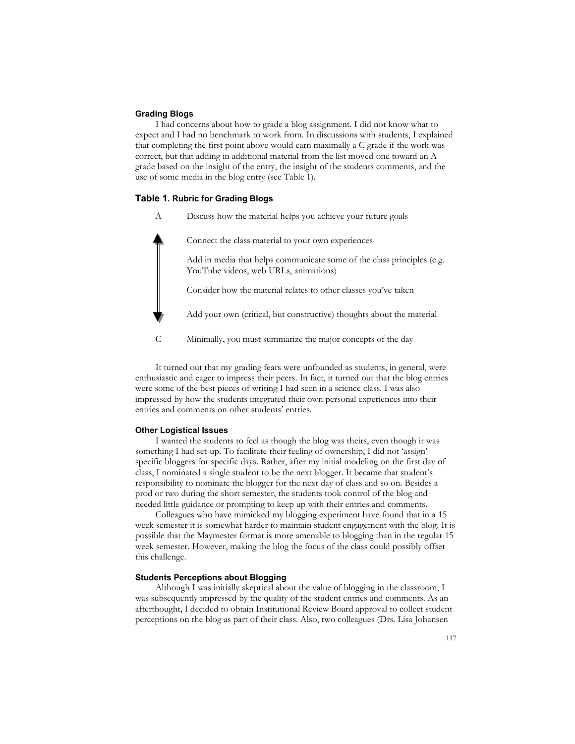#### **Grading Blogs**

I had concerns about how to grade a blog assignment. I did not know what to expect and I had no benchmark to work from. In discussions with students, I explained that completing the first point above would earn maximally a C grade if the work was correct, but that adding in additional material from the list moved one toward an A grade based on the insight of the entry, the insight of the students comments, and the use of some media in the blog entry (see Table 1).

## **Table 1. Rubric for Grading Blogs**

A Discuss how the material helps you achieve your future goals

Connect the class material to your own experiences Add in media that helps communicate some of the class principles (e.g. YouTube videos, web URLs, animations) Consider how the material relates to other classes you've taken Add your own (critical, but constructive) thoughts about the material C Minimally, you must summarize the major concepts of the day

It turned out that my grading fears were unfounded as students, in general, were enthusiastic and eager to impress their peers. In fact, it turned out that the blog entries were some of the best pieces of writing I had seen in a science class. I was also impressed by how the students integrated their own personal experiences into their entries and comments on other students' entries.

## **Other Logistical Issues**

I wanted the students to feel as though the blog was theirs, even though it was something I had set-up. To facilitate their feeling of ownership, I did not 'assign' specific bloggers for specific days. Rather, after my initial modeling on the first day of class, I nominated a single student to be the next blogger. It became that student's responsibility to nominate the blogger for the next day of class and so on. Besides a prod or two during the short semester, the students took control of the blog and needed little guidance or prompting to keep up with their entries and comments.

Colleagues who have mimicked my blogging experiment have found that in a 15 week semester it is somewhat harder to maintain student engagement with the blog. It is possible that the Maymester format is more amenable to blogging than in the regular 15 week semester. However, making the blog the focus of the class could possibly offset this challenge.

### **Students Perceptions about Blogging**

Although I was initially skeptical about the value of blogging in the classroom, I was subsequently impressed by the quality of the student entries and comments. As an afterthought, I decided to obtain Institutional Review Board approval to collect student perceptions on the blog as part of their class. Also, two colleagues (Drs. Lisa Johansen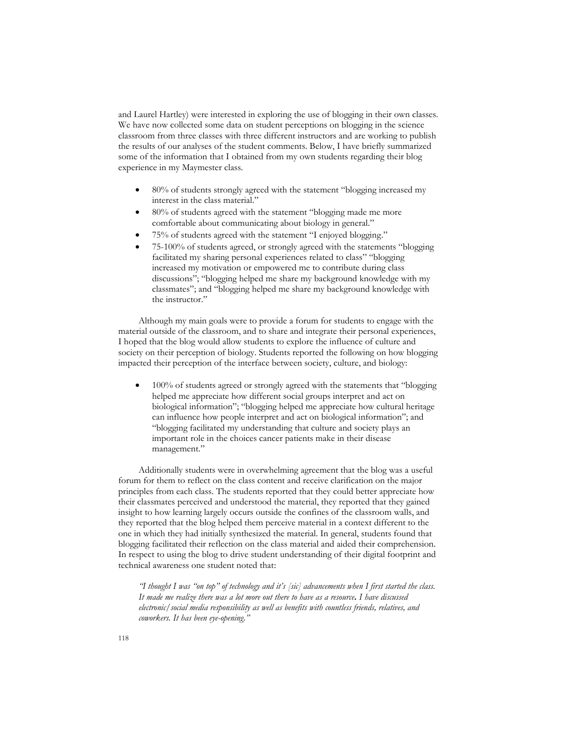and Laurel Hartley) were interested in exploring the use of blogging in their own classes. We have now collected some data on student perceptions on blogging in the science classroom from three classes with three different instructors and are working to publish the results of our analyses of the student comments. Below, I have briefly summarized some of the information that I obtained from my own students regarding their blog experience in my Maymester class.

- 80% of students strongly agreed with the statement "blogging increased my interest in the class material."
- 80% of students agreed with the statement "blogging made me more comfortable about communicating about biology in general."
- 75% of students agreed with the statement "I enjoyed blogging."
- 75-100% of students agreed, or strongly agreed with the statements "blogging facilitated my sharing personal experiences related to class'' "blogging increased my motivation or empowered me to contribute during class discussions"; "blogging helped me share my background knowledge with my classmates"; and "blogging helped me share my background knowledge with the instructor."

Although my main goals were to provide a forum for students to engage with the material outside of the classroom, and to share and integrate their personal experiences, I hoped that the blog would allow students to explore the influence of culture and society on their perception of biology. Students reported the following on how blogging impacted their perception of the interface between society, culture, and biology:

 100% of students agreed or strongly agreed with the statements that "blogging helped me appreciate how different social groups interpret and act on biological information"; "blogging helped me appreciate how cultural heritage can influence how people interpret and act on biological information"; and "blogging facilitated my understanding that culture and society plays an important role in the choices cancer patients make in their disease management."

Additionally students were in overwhelming agreement that the blog was a useful forum for them to reflect on the class content and receive clarification on the major principles from each class. The students reported that they could better appreciate how their classmates perceived and understood the material, they reported that they gained insight to how learning largely occurs outside the confines of the classroom walls, and they reported that the blog helped them perceive material in a context different to the one in which they had initially synthesized the material. In general, students found that blogging facilitated their reflection on the class material and aided their comprehension. In respect to using the blog to drive student understanding of their digital footprint and technical awareness one student noted that:

*"I thought I was "on top" of technology and it's [sic] advancements when I first started the class. It made me realize there was a lot more out there to have as a resource. I have discussed electronic/social media responsibility as well as benefits with countless friends, relatives, and coworkers. It has been eye-opening."*